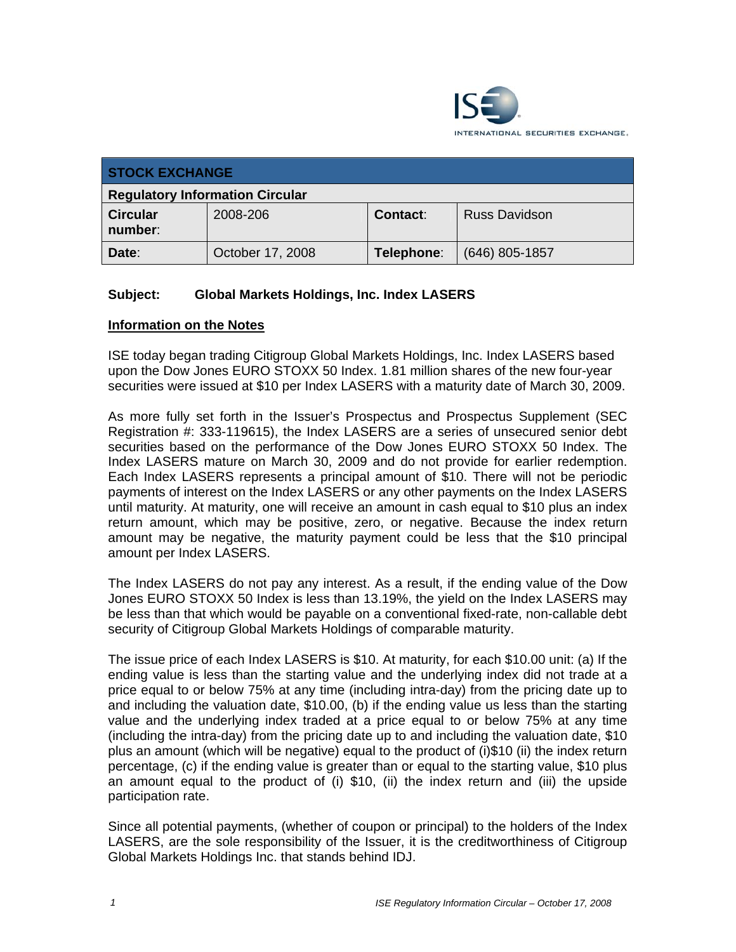

| <b>STOCK EXCHANGE</b>                  |                  |            |                      |  |
|----------------------------------------|------------------|------------|----------------------|--|
| <b>Regulatory Information Circular</b> |                  |            |                      |  |
| <b>Circular</b><br>number:             | 2008-206         | Contact:   | <b>Russ Davidson</b> |  |
| Date:                                  | October 17, 2008 | Telephone: | $(646)$ 805-1857     |  |

## **Subject: Global Markets Holdings, Inc. Index LASERS**

## **Information on the Notes**

ISE today began trading Citigroup Global Markets Holdings, Inc. Index LASERS based upon the Dow Jones EURO STOXX 50 Index. 1.81 million shares of the new four-year securities were issued at \$10 per Index LASERS with a maturity date of March 30, 2009.

As more fully set forth in the Issuer's Prospectus and Prospectus Supplement (SEC Registration #: 333-119615), the Index LASERS are a series of unsecured senior debt securities based on the performance of the Dow Jones EURO STOXX 50 Index. The Index LASERS mature on March 30, 2009 and do not provide for earlier redemption. Each Index LASERS represents a principal amount of \$10. There will not be periodic payments of interest on the Index LASERS or any other payments on the Index LASERS until maturity. At maturity, one will receive an amount in cash equal to \$10 plus an index return amount, which may be positive, zero, or negative. Because the index return amount may be negative, the maturity payment could be less that the \$10 principal amount per Index LASERS.

The Index LASERS do not pay any interest. As a result, if the ending value of the Dow Jones EURO STOXX 50 Index is less than 13.19%, the yield on the Index LASERS may be less than that which would be payable on a conventional fixed-rate, non-callable debt security of Citigroup Global Markets Holdings of comparable maturity.

The issue price of each Index LASERS is \$10. At maturity, for each \$10.00 unit: (a) If the ending value is less than the starting value and the underlying index did not trade at a price equal to or below 75% at any time (including intra-day) from the pricing date up to and including the valuation date, \$10.00, (b) if the ending value us less than the starting value and the underlying index traded at a price equal to or below 75% at any time (including the intra-day) from the pricing date up to and including the valuation date, \$10 plus an amount (which will be negative) equal to the product of (i)\$10 (ii) the index return percentage, (c) if the ending value is greater than or equal to the starting value, \$10 plus an amount equal to the product of (i) \$10, (ii) the index return and (iii) the upside participation rate.

Since all potential payments, (whether of coupon or principal) to the holders of the Index LASERS, are the sole responsibility of the Issuer, it is the creditworthiness of Citigroup Global Markets Holdings Inc. that stands behind IDJ.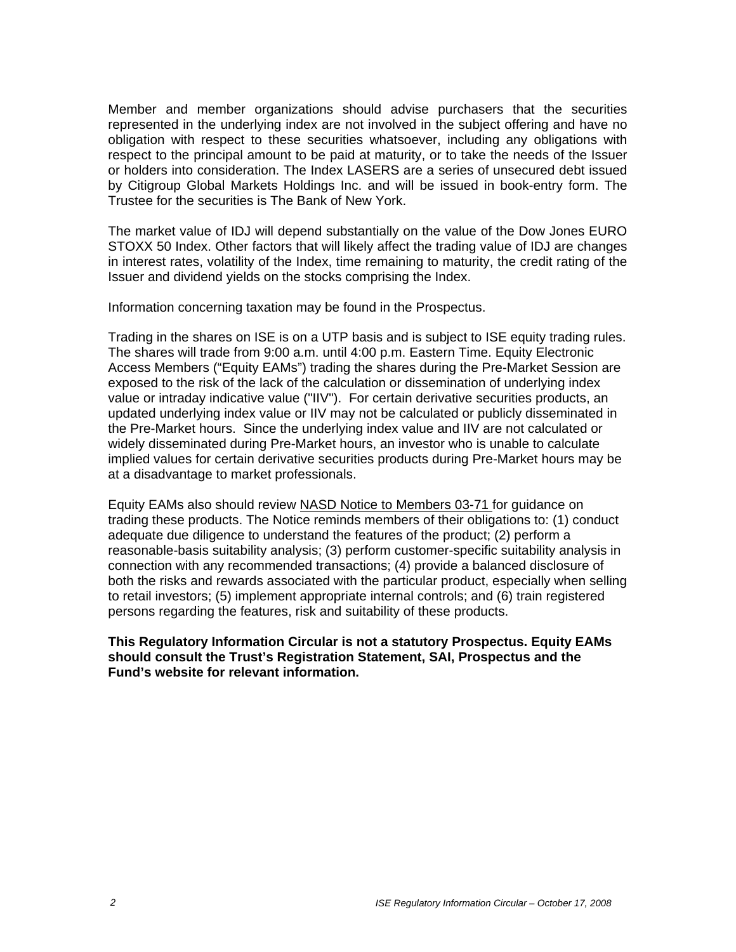Member and member organizations should advise purchasers that the securities represented in the underlying index are not involved in the subject offering and have no obligation with respect to these securities whatsoever, including any obligations with respect to the principal amount to be paid at maturity, or to take the needs of the Issuer or holders into consideration. The Index LASERS are a series of unsecured debt issued by Citigroup Global Markets Holdings Inc. and will be issued in book-entry form. The Trustee for the securities is The Bank of New York.

The market value of IDJ will depend substantially on the value of the Dow Jones EURO STOXX 50 Index. Other factors that will likely affect the trading value of IDJ are changes in interest rates, volatility of the Index, time remaining to maturity, the credit rating of the Issuer and dividend yields on the stocks comprising the Index.

Information concerning taxation may be found in the Prospectus.

Trading in the shares on ISE is on a UTP basis and is subject to ISE equity trading rules. The shares will trade from 9:00 a.m. until 4:00 p.m. Eastern Time. Equity Electronic Access Members ("Equity EAMs") trading the shares during the Pre-Market Session are exposed to the risk of the lack of the calculation or dissemination of underlying index value or intraday indicative value ("IIV"). For certain derivative securities products, an updated underlying index value or IIV may not be calculated or publicly disseminated in the Pre-Market hours. Since the underlying index value and IIV are not calculated or widely disseminated during Pre-Market hours, an investor who is unable to calculate implied values for certain derivative securities products during Pre-Market hours may be at a disadvantage to market professionals.

Equity EAMs also should review NASD Notice to Members 03-71 for guidance on trading these products. The Notice reminds members of their obligations to: (1) conduct adequate due diligence to understand the features of the product; (2) perform a reasonable-basis suitability analysis; (3) perform customer-specific suitability analysis in connection with any recommended transactions; (4) provide a balanced disclosure of both the risks and rewards associated with the particular product, especially when selling to retail investors; (5) implement appropriate internal controls; and (6) train registered persons regarding the features, risk and suitability of these products.

**This Regulatory Information Circular is not a statutory Prospectus. Equity EAMs should consult the Trust's Registration Statement, SAI, Prospectus and the Fund's website for relevant information.**